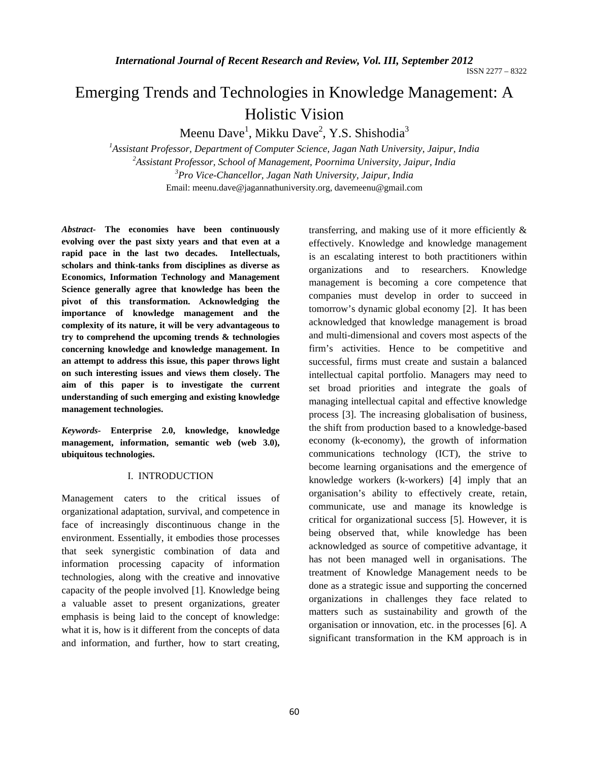# Emerging Trends and Technologies in Knowledge Management: A Holistic Vision

Meenu Dave<sup>1</sup>, Mikku Dave<sup>2</sup>, Y.S. Shishodia<sup>3</sup>

<sup>1</sup> Assistant Professor, Department of Computer Science, Jagan Nath University, Jaipur, India <sup>2</sup> Assistant Professor, School of Management, Poeming University, Jaipur, India *Assistant Professor, School of Management, Poornima University, Jaipur, India 3 Pro Vice-Chancellor, Jagan Nath University, Jaipur, India*  Email: meenu.dave@jagannathuniversity.org, davemeenu@gmail.com

*Abstract-* **The economies have been continuously evolving over the past sixty years and that even at a rapid pace in the last two decades. Intellectuals, scholars and think-tanks from disciplines as diverse as Economics, Information Technology and Management Science generally agree that knowledge has been the pivot of this transformation. Acknowledging the importance of knowledge management and the complexity of its nature, it will be very advantageous to try to comprehend the upcoming trends & technologies concerning knowledge and knowledge management. In an attempt to address this issue, this paper throws light on such interesting issues and views them closely. The aim of this paper is to investigate the current understanding of such emerging and existing knowledge management technologies.** 

*Keywords-* **Enterprise 2.0, knowledge, knowledge management, information, semantic web (web 3.0), ubiquitous technologies.** 

# I. INTRODUCTION

Management caters to the critical issues of organizational adaptation, survival, and competence in face of increasingly discontinuous change in the environment. Essentially, it embodies those processes that seek synergistic combination of data and information processing capacity of information technologies, along with the creative and innovative capacity of the people involved [1]. Knowledge being a valuable asset to present organizations, greater emphasis is being laid to the concept of knowledge: what it is, how is it different from the concepts of data and information, and further, how to start creating,

transferring, and making use of it more efficiently  $\&$ effectively. Knowledge and knowledge management is an escalating interest to both practitioners within organizations and to researchers. Knowledge management is becoming a core competence that companies must develop in order to succeed in tomorrow's dynamic global economy [2]. It has been acknowledged that knowledge management is broad and multi-dimensional and covers most aspects of the firm's activities. Hence to be competitive and successful, firms must create and sustain a balanced intellectual capital portfolio. Managers may need to set broad priorities and integrate the goals of managing intellectual capital and effective knowledge process [3]. The increasing globalisation of business, the shift from production based to a knowledge-based economy (k-economy), the growth of information communications technology (ICT), the strive to become learning organisations and the emergence of knowledge workers (k-workers) [4] imply that an organisation's ability to effectively create, retain, communicate, use and manage its knowledge is critical for organizational success [5]. However, it is being observed that, while knowledge has been acknowledged as source of competitive advantage, it has not been managed well in organisations. The treatment of Knowledge Management needs to be done as a strategic issue and supporting the concerned organizations in challenges they face related to matters such as sustainability and growth of the organisation or innovation, etc. in the processes [6]. A significant transformation in the KM approach is in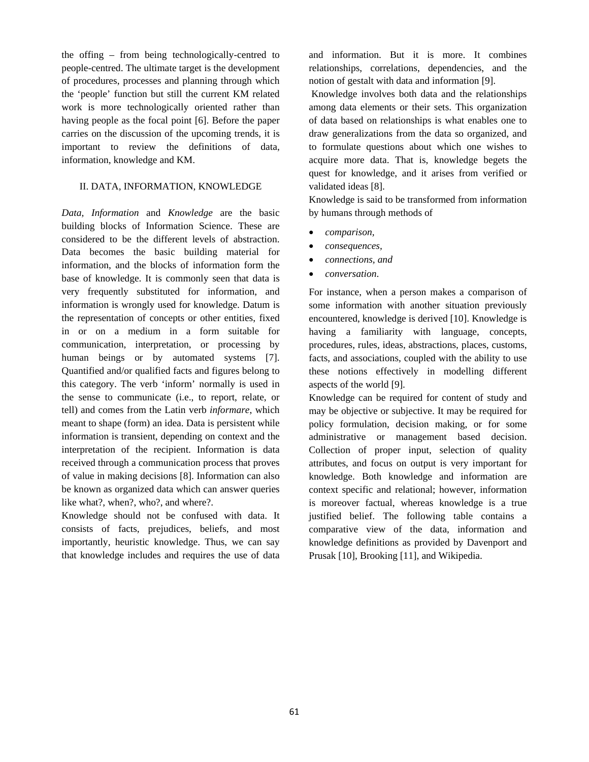the offing – from being technologically-centred to people-centred. The ultimate target is the development of procedures, processes and planning through which the 'people' function but still the current KM related work is more technologically oriented rather than having people as the focal point [6]. Before the paper carries on the discussion of the upcoming trends, it is important to review the definitions of data, information, knowledge and KM.

## II. DATA, INFORMATION, KNOWLEDGE

*Data, Information* and *Knowledge* are the basic building blocks of Information Science. These are considered to be the different levels of abstraction. Data becomes the basic building material for information, and the blocks of information form the base of knowledge. It is commonly seen that data is very frequently substituted for information, and information is wrongly used for knowledge. Datum is the representation of concepts or other entities, fixed in or on a medium in a form suitable for communication, interpretation, or processing by human beings or by automated systems [7]. Quantified and/or qualified facts and figures belong to this category. The verb 'inform' normally is used in the sense to communicate (i.e., to report, relate, or tell) and comes from the Latin verb *informare*, which meant to shape (form) an idea. Data is persistent while information is transient, depending on context and the interpretation of the recipient. Information is data received through a communication process that proves of value in making decisions [8]. Information can also be known as organized data which can answer queries like what?, when?, who?, and where?.

Knowledge should not be confused with data. It consists of facts, prejudices, beliefs, and most importantly, heuristic knowledge. Thus, we can say that knowledge includes and requires the use of data and information. But it is more. It combines relationships, correlations, dependencies, and the notion of gestalt with data and information [9].

 Knowledge involves both data and the relationships among data elements or their sets. This organization of data based on relationships is what enables one to draw generalizations from the data so organized, and to formulate questions about which one wishes to acquire more data. That is, knowledge begets the quest for knowledge, and it arises from verified or validated ideas [8].

Knowledge is said to be transformed from information by humans through methods of

- *comparison,*
- *consequences,*
- *connections, and*
- *conversation*.

For instance, when a person makes a comparison of some information with another situation previously encountered, knowledge is derived [10]. Knowledge is having a familiarity with language, concepts, procedures, rules, ideas, abstractions, places, customs, facts, and associations, coupled with the ability to use these notions effectively in modelling different aspects of the world [9].

Knowledge can be required for content of study and may be objective or subjective. It may be required for policy formulation, decision making, or for some administrative or management based decision. Collection of proper input, selection of quality attributes, and focus on output is very important for knowledge. Both knowledge and information are context specific and relational; however, information is moreover factual, whereas knowledge is a true justified belief. The following table contains a comparative view of the data, information and knowledge definitions as provided by Davenport and Prusak [10], Brooking [11], and Wikipedia.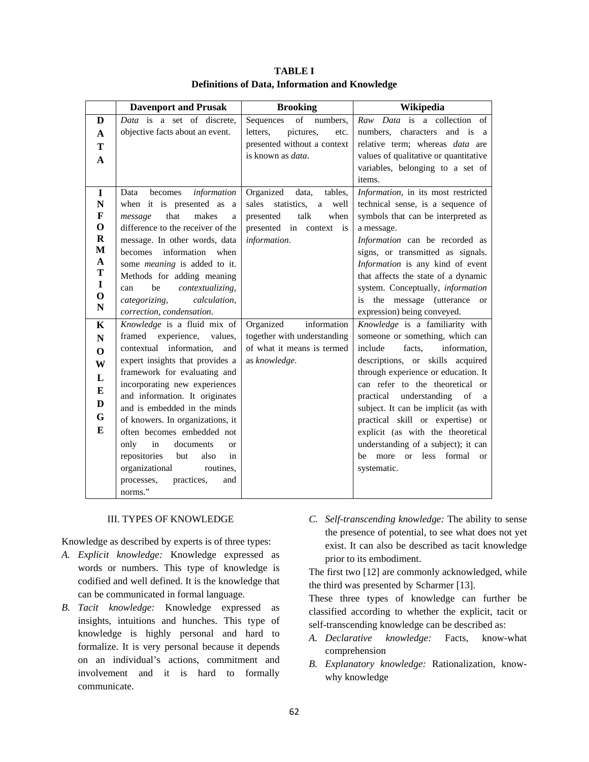|                            | <b>Davenport and Prusak</b>         | <b>Brooking</b>                   | Wikipedia                                                  |
|----------------------------|-------------------------------------|-----------------------------------|------------------------------------------------------------|
| D                          | Data is a set of discrete.          | of<br>Sequences<br>numbers.       | Raw Data is a collection of                                |
| $\mathbf{A}$               | objective facts about an event.     | letters,<br>pictures,<br>etc.     | numbers, characters<br>and is<br><sub>a</sub>              |
| T                          |                                     | presented without a context       | relative term; whereas <i>data</i> are                     |
| $\mathbf{A}$               |                                     | is known as <i>data</i> .         | values of qualitative or quantitative                      |
|                            |                                     |                                   | variables, belonging to a set of                           |
|                            |                                     |                                   | items.                                                     |
| $\mathbf I$                | information<br>becomes<br>Data      | Organized<br>tables,<br>data,     | Information, in its most restricted                        |
| ${\bf N}$                  | when it is presented as a           | sales<br>statistics,<br>a<br>well | technical sense, is a sequence of                          |
| $\mathbf{F}$               | that<br>makes<br>message<br>a       | talk<br>when<br>presented         | symbols that can be interpreted as                         |
| $\mathbf 0$                | difference to the receiver of the   | presented in context is           | a message.                                                 |
| $\mathbf R$                | message. In other words, data       | information.                      | Information can be recorded as                             |
| $\mathbf{M}$               | information when<br>becomes         |                                   | signs, or transmitted as signals.                          |
| $\mathbf{A}$               | some <i>meaning</i> is added to it. |                                   | Information is any kind of event                           |
| $\mathbf T$                | Methods for adding meaning          |                                   | that affects the state of a dynamic                        |
| $\mathbf I$<br>$\mathbf 0$ | contextualizing,<br>be<br>can       |                                   | system. Conceptually, information                          |
| $\mathbf N$                | categorizing,<br>calculation,       |                                   | the message (utterance<br>is<br><sub>or</sub>              |
|                            | correction, condensation.           |                                   | expression) being conveyed.                                |
| $\mathbf K$                | Knowledge is a fluid mix of         | Organized<br>information          | Knowledge is a familiarity with                            |
| $\mathbf N$                | framed<br>experience,<br>values.    | together with understanding       | someone or something, which can                            |
| $\Omega$                   | information,<br>contextual<br>and   | of what it means is termed        | include<br>information,<br>facts.                          |
| W                          | expert insights that provides a     | as knowledge.                     | descriptions, or skills acquired                           |
| L                          | framework for evaluating and        |                                   | through experience or education. It                        |
| E                          | incorporating new experiences       |                                   | can refer to the theoretical or                            |
| D                          | and information. It originates      |                                   | practical<br>understanding<br>of<br><sub>a</sub>           |
|                            | and is embedded in the minds        |                                   | subject. It can be implicit (as with                       |
| G                          | of knowers. In organizations, it    |                                   | practical skill or expertise) or                           |
| E                          | often becomes embedded not          |                                   | explicit (as with the theoretical                          |
|                            | only<br>in<br>documents<br>$\alpha$ |                                   | understanding of a subject); it can                        |
|                            | repositories<br>also<br>but<br>in   |                                   | more<br>formal<br>be<br><sub>or</sub><br>less<br><b>or</b> |
|                            | organizational<br>routines,         |                                   | systematic.                                                |
|                            | practices,<br>processes,<br>and     |                                   |                                                            |
|                            | norms."                             |                                   |                                                            |

**TABLE I Definitions of Data, Information and Knowledge** 

## III. TYPES OF KNOWLEDGE

Knowledge as described by experts is of three types:

- *A. Explicit knowledge:* Knowledge expressed as words or numbers. This type of knowledge is codified and well defined. It is the knowledge that can be communicated in formal language.
- *B. Tacit knowledge:* Knowledge expressed as insights, intuitions and hunches. This type of knowledge is highly personal and hard to formalize. It is very personal because it depends on an individual's actions, commitment and involvement and it is hard to formally communicate.
- *C. Self-transcending knowledge:* The ability to sense the presence of potential, to see what does not yet exist. It can also be described as tacit knowledge prior to its embodiment.

The first two [12] are commonly acknowledged, while the third was presented by Scharmer [13].

These three types of knowledge can further be classified according to whether the explicit, tacit or self-transcending knowledge can be described as:

- *A. Declarative knowledge:* Facts, know-what comprehension
- *B. Explanatory knowledge:* Rationalization, knowwhy knowledge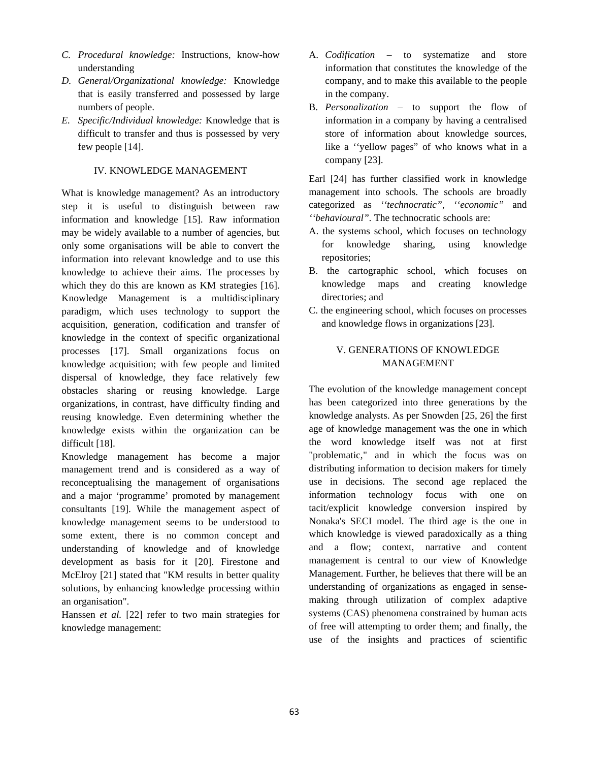- *C. Procedural knowledge:* Instructions, know-how understanding
- *D. General/Organizational knowledge:* Knowledge that is easily transferred and possessed by large numbers of people.
- *E. Specific/Individual knowledge:* Knowledge that is difficult to transfer and thus is possessed by very few people [14].

### IV. KNOWLEDGE MANAGEMENT

What is knowledge management? As an introductory step it is useful to distinguish between raw information and knowledge [15]. Raw information may be widely available to a number of agencies, but only some organisations will be able to convert the information into relevant knowledge and to use this knowledge to achieve their aims. The processes by which they do this are known as KM strategies [16]. Knowledge Management is a multidisciplinary paradigm, which uses technology to support the acquisition, generation, codification and transfer of knowledge in the context of specific organizational processes [17]. Small organizations focus on knowledge acquisition; with few people and limited dispersal of knowledge, they face relatively few obstacles sharing or reusing knowledge. Large organizations, in contrast, have difficulty finding and reusing knowledge. Even determining whether the knowledge exists within the organization can be difficult [18].

Knowledge management has become a major management trend and is considered as a way of reconceptualising the management of organisations and a major 'programme' promoted by management consultants [19]. While the management aspect of knowledge management seems to be understood to some extent, there is no common concept and understanding of knowledge and of knowledge development as basis for it [20]. Firestone and McElroy [21] stated that "KM results in better quality solutions, by enhancing knowledge processing within an organisation".

Hanssen *et al.* [22] refer to two main strategies for knowledge management:

- A. *Codification* to systematize and store information that constitutes the knowledge of the company, and to make this available to the people in the company.
- B. *Personalization* to support the flow of information in a company by having a centralised store of information about knowledge sources, like a ''yellow pages" of who knows what in a company [23].

Earl [24] has further classified work in knowledge management into schools. The schools are broadly categorized as *''technocratic", ''economic"* and *''behavioural".* The technocratic schools are:

- A. the systems school, which focuses on technology for knowledge sharing, using knowledge repositories;
- B. the cartographic school, which focuses on knowledge maps and creating knowledge directories; and
- C. the engineering school, which focuses on processes and knowledge flows in organizations [23].

# V. GENERATIONS OF KNOWLEDGE MANAGEMENT

The evolution of the knowledge management concept has been categorized into three generations by the knowledge analysts. As per Snowden [25, 26] the first age of knowledge management was the one in which the word knowledge itself was not at first "problematic," and in which the focus was on distributing information to decision makers for timely use in decisions. The second age replaced the information technology focus with one on tacit/explicit knowledge conversion inspired by Nonaka's SECI model. The third age is the one in which knowledge is viewed paradoxically as a thing and a flow; context, narrative and content management is central to our view of Knowledge Management. Further, he believes that there will be an understanding of organizations as engaged in sensemaking through utilization of complex adaptive systems (CAS) phenomena constrained by human acts of free will attempting to order them; and finally, the use of the insights and practices of scientific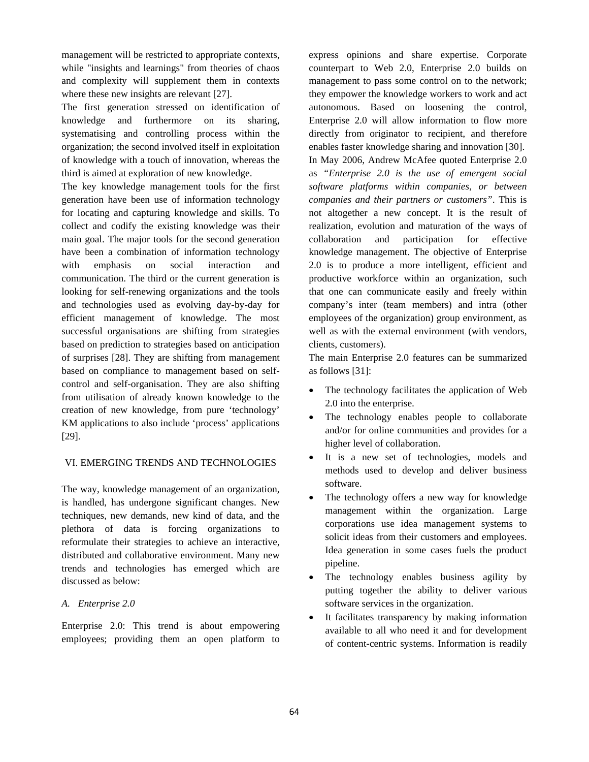management will be restricted to appropriate contexts, while "insights and learnings" from theories of chaos and complexity will supplement them in contexts where these new insights are relevant [27].

The first generation stressed on identification of knowledge and furthermore on its sharing, systematising and controlling process within the organization; the second involved itself in exploitation of knowledge with a touch of innovation, whereas the third is aimed at exploration of new knowledge.

The key knowledge management tools for the first generation have been use of information technology for locating and capturing knowledge and skills. To collect and codify the existing knowledge was their main goal. The major tools for the second generation have been a combination of information technology with emphasis on social interaction and communication. The third or the current generation is looking for self-renewing organizations and the tools and technologies used as evolving day-by-day for efficient management of knowledge. The most successful organisations are shifting from strategies based on prediction to strategies based on anticipation of surprises [28]. They are shifting from management based on compliance to management based on selfcontrol and self-organisation. They are also shifting from utilisation of already known knowledge to the creation of new knowledge, from pure 'technology' KM applications to also include 'process' applications [29].

# VI. EMERGING TRENDS AND TECHNOLOGIES

The way, knowledge management of an organization, is handled, has undergone significant changes. New techniques, new demands, new kind of data, and the plethora of data is forcing organizations to reformulate their strategies to achieve an interactive, distributed and collaborative environment. Many new trends and technologies has emerged which are discussed as below:

# *A. Enterprise 2.0*

Enterprise 2.0: This trend is about empowering employees; providing them an open platform to express opinions and share expertise. Corporate counterpart to Web 2.0, Enterprise 2.0 builds on management to pass some control on to the network; they empower the knowledge workers to work and act autonomous. Based on loosening the control, Enterprise 2.0 will allow information to flow more directly from originator to recipient, and therefore enables faster knowledge sharing and innovation [30]. In May 2006, Andrew McAfee quoted Enterprise 2.0 as *"Enterprise 2.0 is the use of emergent social software platforms within companies, or between companies and their partners or customers"*. This is not altogether a new concept. It is the result of realization, evolution and maturation of the ways of collaboration and participation for effective knowledge management. The objective of Enterprise 2.0 is to produce a more intelligent, efficient and productive workforce within an organization, such that one can communicate easily and freely within company's inter (team members) and intra (other employees of the organization) group environment, as well as with the external environment (with vendors, clients, customers).

The main Enterprise 2.0 features can be summarized as follows [31]:

- The technology facilitates the application of Web 2.0 into the enterprise.
- The technology enables people to collaborate and/or for online communities and provides for a higher level of collaboration.
- It is a new set of technologies, models and methods used to develop and deliver business software.
- The technology offers a new way for knowledge management within the organization. Large corporations use idea management systems to solicit ideas from their customers and employees. Idea generation in some cases fuels the product pipeline.
- The technology enables business agility by putting together the ability to deliver various software services in the organization.
- It facilitates transparency by making information available to all who need it and for development of content-centric systems. Information is readily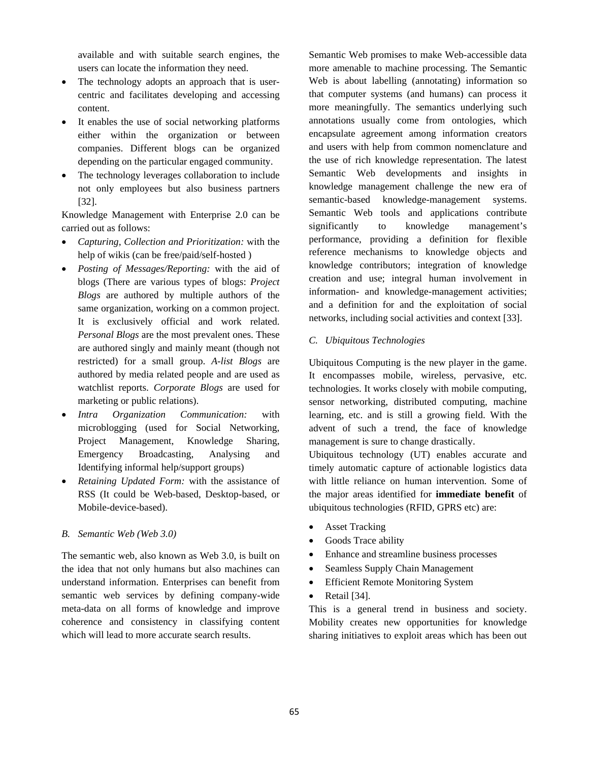available and with suitable search engines, the users can locate the information they need.

- The technology adopts an approach that is usercentric and facilitates developing and accessing content.
- It enables the use of social networking platforms either within the organization or between companies. Different blogs can be organized depending on the particular engaged community.
- The technology leverages collaboration to include not only employees but also business partners [32].

Knowledge Management with Enterprise 2.0 can be carried out as follows:

- *Capturing, Collection and Prioritization:* with the help of wikis (can be free/paid/self-hosted )
- *Posting of Messages/Reporting:* with the aid of blogs (There are various types of blogs: *Project Blogs* are authored by multiple authors of the same organization, working on a common project. It is exclusively official and work related. *Personal Blogs* are the most prevalent ones. These are authored singly and mainly meant (though not restricted) for a small group. *A-list Blogs* are authored by media related people and are used as watchlist reports. *Corporate Blogs* are used for marketing or public relations).
- *Intra Organization Communication:* with microblogging (used for Social Networking, Project Management, Knowledge Sharing, Emergency Broadcasting, Analysing and Identifying informal help/support groups)
- *Retaining Updated Form:* with the assistance of RSS (It could be Web-based, Desktop-based, or Mobile-device-based).

## *B. Semantic Web (Web 3.0)*

The semantic web, also known as Web 3.0, is built on the idea that not only humans but also machines can understand information. Enterprises can benefit from semantic web services by defining company-wide meta-data on all forms of knowledge and improve coherence and consistency in classifying content which will lead to more accurate search results.

Semantic Web promises to make Web-accessible data more amenable to machine processing. The Semantic Web is about labelling (annotating) information so that computer systems (and humans) can process it more meaningfully. The semantics underlying such annotations usually come from ontologies, which encapsulate agreement among information creators and users with help from common nomenclature and the use of rich knowledge representation. The latest Semantic Web developments and insights in knowledge management challenge the new era of semantic-based knowledge-management systems. Semantic Web tools and applications contribute significantly to knowledge management's performance, providing a definition for flexible reference mechanisms to knowledge objects and knowledge contributors; integration of knowledge creation and use; integral human involvement in information- and knowledge-management activities; and a definition for and the exploitation of social networks, including social activities and context [33].

### *C. Ubiquitous Technologies*

Ubiquitous Computing is the new player in the game. It encompasses mobile, wireless, pervasive, etc. technologies. It works closely with mobile computing, sensor networking, distributed computing, machine learning, etc. and is still a growing field. With the advent of such a trend, the face of knowledge management is sure to change drastically.

Ubiquitous technology (UT) enables accurate and timely automatic capture of actionable logistics data with little reliance on human intervention. Some of the major areas identified for **immediate benefit** of ubiquitous technologies (RFID, GPRS etc) are:

- Asset Tracking
- Goods Trace ability
- Enhance and streamline business processes
- Seamless Supply Chain Management
- Efficient Remote Monitoring System
- Retail [34].

This is a general trend in business and society. Mobility creates new opportunities for knowledge sharing initiatives to exploit areas which has been out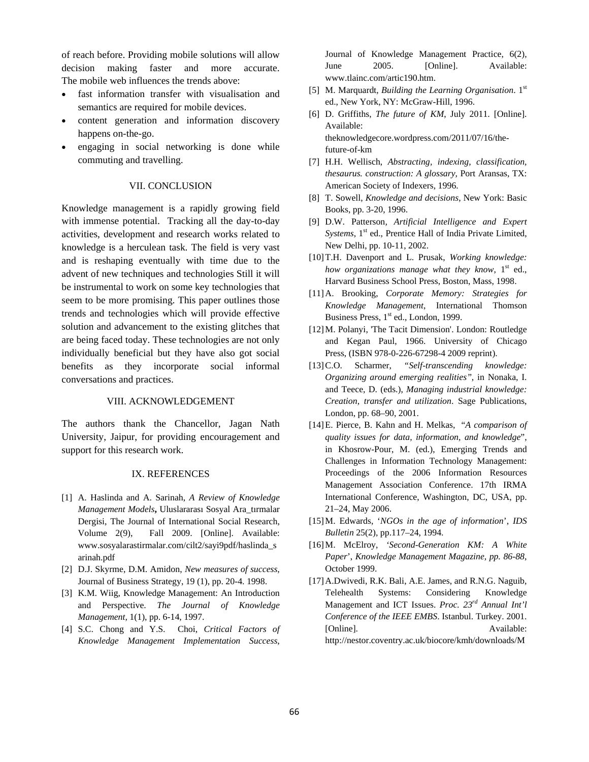of reach before. Providing mobile solutions will allow decision making faster and more accurate. The mobile web influences the trends above:

- fast information transfer with visualisation and semantics are required for mobile devices.
- content generation and information discovery happens on-the-go.
- engaging in social networking is done while commuting and travelling.

## VII. CONCLUSION

Knowledge management is a rapidly growing field with immense potential. Tracking all the day-to-day activities, development and research works related to knowledge is a herculean task. The field is very vast and is reshaping eventually with time due to the advent of new techniques and technologies Still it will be instrumental to work on some key technologies that seem to be more promising. This paper outlines those trends and technologies which will provide effective solution and advancement to the existing glitches that are being faced today. These technologies are not only individually beneficial but they have also got social benefits as they incorporate social informal conversations and practices.

#### VIII. ACKNOWLEDGEMENT

The authors thank the Chancellor, Jagan Nath University, Jaipur, for providing encouragement and support for this research work.

#### IX. REFERENCES

- [1] A. Haslinda and A. Sarinah, *A Review of Knowledge Management Models***,** Uluslararası Sosyal Ara\_tırmalar Dergisi, The Journal of International Social Research, Volume 2(9), Fall 2009. [Online]. Available: www.sosyalarastirmalar.com/cilt2/sayi9pdf/haslinda\_s arinah.pdf
- [2] D.J. Skyrme, D.M. Amidon, *New measures of success*, Journal of Business Strategy, 19 (1), pp. 20-4. 1998.
- [3] K.M. Wiig, Knowledge Management: An Introduction and Perspective. *The Journal of Knowledge Management,* 1(1), pp. 6-14, 1997.
- [4] S.C. Chong and Y.S. Choi, *Critical Factors of Knowledge Management Implementation Success*,

Journal of Knowledge Management Practice, 6(2), June 2005. [Online]. Available: www.tlainc.com/artic190.htm.

- [5] M. Marquardt, *Building the Learning Organisation*. 1st ed., New York, NY: McGraw-Hill, 1996.
- [6] D. Griffiths, *The future of KM*, July 2011. [Online]. Available: theknowledgecore.wordpress.com/2011/07/16/thefuture-of-km
- [7] H.H. Wellisch, *Abstracting, indexing, classification, thesaurus. construction: A glossary,* Port Aransas, TX: American Society of Indexers, 1996.
- [8] T. Sowell, *Knowledge and decisions*, New York: Basic Books, pp. 3-20, 1996.
- [9] D.W. Patterson*, Artificial Intelligence and Expert Systems*, 1<sup>st</sup> ed., Prentice Hall of India Private Limited, New Delhi, pp. 10-11, 2002.
- [10]T.H. Davenport and L. Prusak, *Working knowledge: how organizations manage what they know*, 1<sup>st</sup> ed., Harvard Business School Press, Boston, Mass, 1998.
- [11]A. Brooking, *Corporate Memory: Strategies for Knowledge Management*, International Thomson Business Press, 1<sup>st</sup> ed., London, 1999.
- [12]M. Polanyi, 'The Tacit Dimension'. London: Routledge and Kegan Paul, 1966. University of Chicago Press, (ISBN 978-0-226-67298-4 2009 reprint).
- [13]C.O. Scharmer, *"Self-transcending knowledge: Organizing around emerging realities"*, in Nonaka, I. and Teece, D. (eds.), *Managing industrial knowledge: Creation, transfer and utilization*. Sage Publications, London, pp. 68–90, 2001.
- [14]E. Pierce, B. Kahn and H. Melkas, "*A comparison of quality issues for data, information, and knowledge*", in Khosrow-Pour, M. (ed.), Emerging Trends and Challenges in Information Technology Management: Proceedings of the 2006 Information Resources Management Association Conference. 17th IRMA International Conference, Washington, DC, USA, pp. 21–24, May 2006.
- [15]M. Edwards, '*NGOs in the age of information*', *IDS Bulletin* 25(2), pp.117–24, 1994.
- [16]M. McElroy, *'Second-Generation KM: A White Paper*', *Knowledge Management Magazine, pp. 86-88*, October 1999.
- [17]A.Dwivedi, R.K. Bali, A.E. James, and R.N.G. Naguib, Telehealth Systems: Considering Knowledge Management and ICT Issues. *Proc. 23rd Annual Int'l Conference of the IEEE EMBS*. Istanbul. Turkey. 2001. [Online]. Available: http://nestor.coventry.ac.uk/biocore/kmh/downloads/M